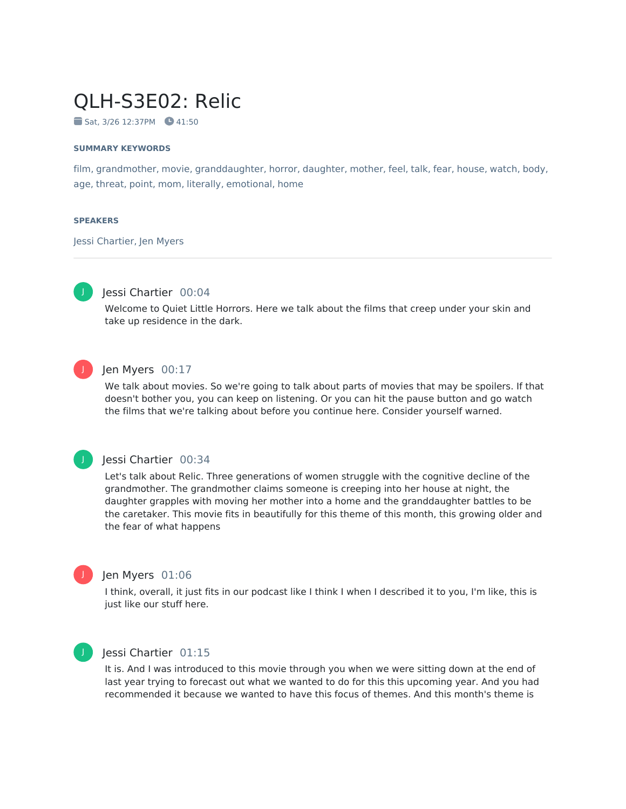# QLH-S3E02: Relic

 $Sat. 3/26 12:37PM$   $41:50$ 

### **SUMMARY KEYWORDS**

film, grandmother, movie, granddaughter, horror, daughter, mother, feel, talk, fear, house, watch, body, age, threat, point, mom, literally, emotional, home

### **SPEAKERS**

Jessi Chartier, Jen Myers



## Jessi Chartier 00:04

Welcome to Quiet Little Horrors. Here we talk about the films that creep under your skin and take up residence in the dark.



## Jen Myers 00:17

We talk about movies. So we're going to talk about parts of movies that may be spoilers. If that doesn't bother you, you can keep on listening. Or you can hit the pause button and go watch the films that we're talking about before you continue here. Consider yourself warned.



## Jessi Chartier 00:34

Let's talk about Relic. Three generations of women struggle with the cognitive decline of the grandmother. The grandmother claims someone is creeping into her house at night, the daughter grapples with moving her mother into a home and the granddaughter battles to be the caretaker. This movie fits in beautifully for this theme of this month, this growing older and the fear of what happens



## Jen Myers 01:06

I think, overall, it just fits in our podcast like I think I when I described it to you, I'm like, this is just like our stuff here.



## Jessi Chartier 01:15

It is. And I was introduced to this movie through you when we were sitting down at the end of last year trying to forecast out what we wanted to do for this this upcoming year. And you had recommended it because we wanted to have this focus of themes. And this month's theme is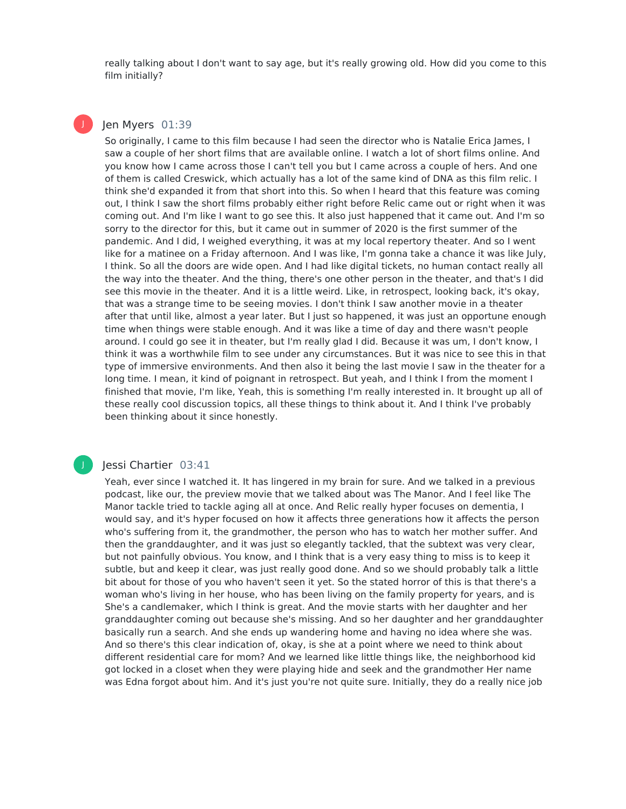really talking about I don't want to say age, but it's really growing old. How did you come to this film initially?

## Jen Myers 01:39

J

So originally, I came to this film because I had seen the director who is Natalie Erica James, I saw a couple of her short films that are available online. I watch a lot of short films online. And you know how Icame across those I can't tell you but I came across a couple of hers. And one of them is called Creswick, which actually has a lot of the same kind of DNA as this film relic. I think she'd expanded it from that short into this. So when I heard that this feature was coming out, I think I saw the short films probably either right before Relic came out or right when it was coming out. And I'm like I want to go see this. It also just happened that it came out. And I'm so sorry to the director for this, but it came out in summer of 2020 is the first summer of the pandemic. And I did, I weighed everything, it was at my local repertory theater. And so I went like for a matinee on a Friday afternoon. And I was like, I'm gonna take a chance it was like July, I think. So all the doors are wide open. And I had like digital tickets, no human contact really all the way into the theater. And the thing, there's one other person in the theater, and that's I did see this movie in the theater. And it is a little weird. Like, in retrospect, looking back, it's okay, that was a strange time to be seeing movies. I don't think I saw another movie in a theater after that until like, almost a year later. But I just so happened, it was just an opportune enough time when things were stable enough. And it was like a time of day and there wasn't people around. I could go see it in theater, but I'm really glad I did. Because it was um, I don't know, I think it was a worthwhile film to see under any circumstances. But it was nice to see this in that type of immersive environments. And then also it being the last movie I saw in the theater for a long time. I mean, it kind of poignant in retrospect. But yeah, and I think I from the moment I finished that movie, I'm like, Yeah, this is something I'm really interested in. It brought up all of these really cool discussion topics, all these things to think about it. And I think I've probably been thinking about it since honestly.

## Jessi Chartier 03:41

Yeah, ever since I watched it. It has lingered in my brain for sure. And we talked in a previous podcast, like our, the preview movie that we talked about was The Manor. And I feel like The Manor tackle tried to tackle aging all at once. And Relic really hyper focuses on dementia, I would say, and it's hyper focused on how it affects three generations how it affects the person who's suffering from it, the grandmother, the person who has to watch her mother suffer. And then the granddaughter, and it was just so elegantly tackled, that the subtext was very clear, but not painfully obvious. You know, and I think that is a very easy thing to miss is to keep it subtle, but and keep it clear, was just really good done. And so we should probably talk a little bit about for those of you who haven't seen it yet. So the stated horror of this is that there's a woman who's living in her house, who has been living on the family property for years, and is She's a candlemaker, which I think is great. And the movie starts with her daughter and her granddaughter coming out because she's missing. And so her daughter and her granddaughter basically run a search. And she ends up wandering home and having no idea where she was. And so there's this clear indication of, okay, is she at a point where we need to think about different residential care for mom? And we learned like little things like, the neighborhood kid got locked in a closet when they were playing hide and seek and the grandmother Her name was Edna forgot about him. And it's just you're not quite sure. Initially, they do a really nice job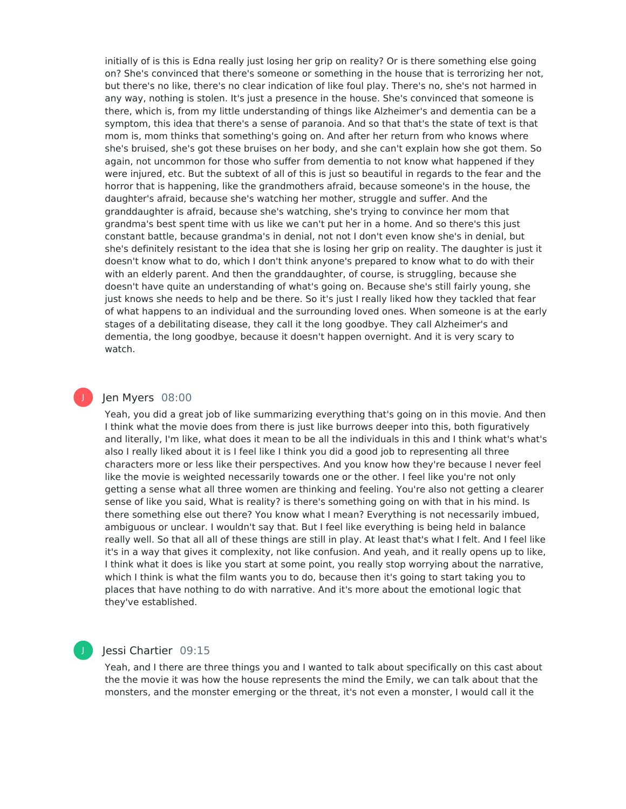initially of is this is Edna really just losing her grip on reality? Or is there something else going on? She's convinced that there's someone or something in the house that is terrorizing her not, but there's no like, there's no clear indication of like foul play. There's no, she's not harmed in any way, nothing is stolen. It's just a presence in the house. She's convinced that someone is there, which is, from my little understanding of things like Alzheimer's and dementia can be a symptom, this idea that there's a sense of paranoia. And so that that's the state of text is that mom is, mom thinks that something's going on. And after her return from who knows where she's bruised, she's got these bruises on her body, and she can't explain how she got them. So again, not uncommon for those who suffer from dementia to not know what happened if they were injured, etc. But the subtext of all of this is just so beautiful in regards to the fear and the horror that is happening, like the grandmothers afraid, because someone's in the house, the daughter's afraid, because she's watching her mother, struggle and suffer. And the granddaughter is afraid, because she's watching, she's trying to convince her mom that grandma's best spent time with us like we can't put her in a home. And so there's this just constant battle, because grandma's in denial, not not I don't even know she's in denial, but she's definitely resistant to the idea that she is losing her grip on reality. The daughter is just it doesn't know what to do, which I don't think anyone's prepared to know what to do with their with an elderly parent. And then the granddaughter, of course, is struggling, because she doesn't have quite an understanding of what's going on. Because she's still fairly young, she just knows she needs to help and be there. So it's just I really liked how they tackled that fear of what happens to an individual and the surrounding loved ones. When someone is at the early stages of a debilitating disease, they call it the long goodbye. They call Alzheimer's and dementia, the long goodbye, because it doesn't happen overnight. And it is very scary to watch.

## J

## Jen Myers 08:00

Yeah, you did a great job of like summarizing everything that's going on in this movie. And then I think what the movie does from there is just like burrows deeper into this, both figuratively and literally, I'm like, what does it mean to be all the individuals in this and I think what's what's also I really liked about it is I feel like I think you did a good job to representing all three characters more or less like their perspectives. And you know how they're because I never feel like the movie is weighted necessarily towards one or the other. I feel like you're not only getting a sense what all three women are thinking and feeling. You're also not getting a clearer sense of like you said, What is reality? is there's something going on with that in his mind. Is there something else out there? You know what I mean? Everything is not necessarily imbued, ambiguous or unclear. I wouldn't say that. But I feel like everything is being held in balance really well. So that all all of these things are still in play. At least that's what I felt. And I feel like it's in a way that gives it complexity, not like confusion. And yeah, and it really opens up to like, I think what it does is like you start at some point, you really stop worrying about the narrative, which I think is what the film wants you to do, because then it's going to start taking you to places that have nothing to do with narrative. And it's more about the emotional logic that they've established.

## Jessi Chartier 09:15

Yeah, and I there are three things you and I wanted to talk about specifically on this cast about the the movie it was how the house represents the mind the Emily, we can talk about that the monsters, and the monster emerging or the threat, it's not even a monster, I would call it the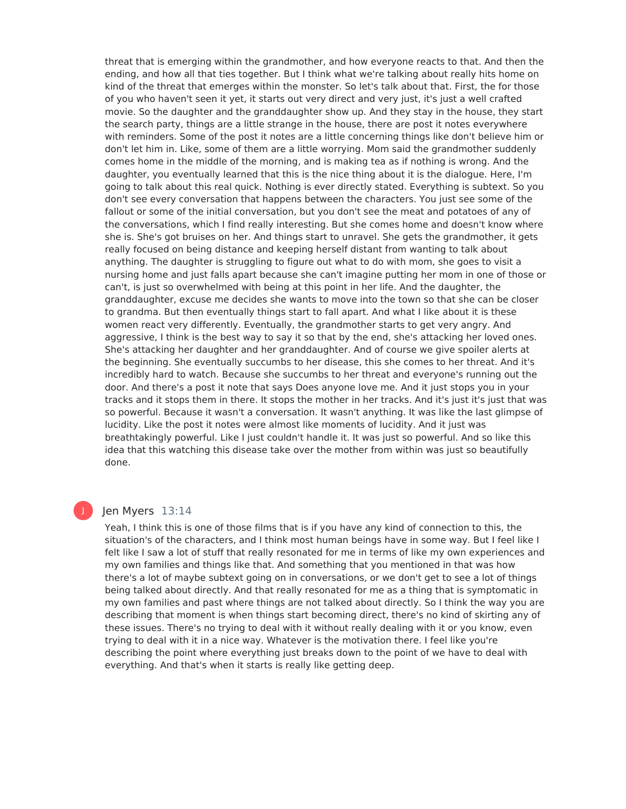threat that is emerging within the grandmother, and how everyone reacts to that. And then the ending, and how all that ties together. But I think what we're talking about really hits home on kind of the threat that emerges within the monster. So let's talk about that. First, the for those of you who haven't seen it yet, it starts out very direct and very just, it's just a well crafted movie. So the daughter and the granddaughter show up. And they stay in the house, they start the search party, things are a little strange in the house, there are post it notes everywhere with reminders. Some of the post it notes are a little concerning things like don't believe him or don't let him in. Like, some of them are a little worrying. Mom said the grandmother suddenly comes home in the middle of the morning, and is making tea as if nothing is wrong. And the daughter, you eventually learned that this is the nice thing about it is the dialogue. Here, I'm going to talk about this real quick. Nothing is ever directly stated. Everything is subtext. So you don't see every conversation that happens between the characters. You just see some of the fallout or some of the initial conversation, but you don't see the meat and potatoes of any of the conversations, which I find really interesting. But she comes home and doesn't know where she is. She's got bruises on her. And things start to unravel. She gets the grandmother, it gets really focused on being distance and keeping herself distant from wanting to talk about anything. The daughter is struggling to figure out what to do with mom, she goes to visit a nursing home and just falls apart because she can't imagine putting her mom in one of those or can't, is just so overwhelmed with being at this point in her life. And the daughter, the granddaughter, excuse me decides she wants to move into the town so that she can be closer to grandma. But then eventually things start to fall apart. And what I like about it is these women react very differently. Eventually, the grandmother starts to get very angry. And aggressive, I think is the best way to say it so that by the end, she's attacking her loved ones. She's attacking her daughter and her granddaughter. And of course we give spoiler alerts at the beginning. She eventually succumbs to her disease, this she comes to her threat. And it's incredibly hard to watch. Because she succumbs to her threat and everyone's running out the door. And there's a post it note that says Does anyone love me. And it just stops you in your tracks and it stops them in there. It stops the mother in her tracks. And it's just it's just that was so powerful. Because it wasn't a conversation. It wasn't anything. It was like the last glimpse of lucidity. Like the post it notes were almost like moments of lucidity. And it just was breathtakingly powerful. Like I just couldn't handle it. It was just so powerful. And so like this idea that this watching this disease take over the mother from within was just so beautifully done.

## Jen Myers 13:14

Yeah, I think this is one of those films that is if you have any kind of connection to this, the situation's of the characters, and I think most human beings have in some way. But I feel like I felt like I saw a lot of stuff that really resonated for me in terms of like my own experiences and my own families and things like that. And something that you mentioned in that was how there's a lot of maybe subtext going on in conversations, or we don't get to see a lot of things being talked about directly. And that really resonated for me as a thing that is symptomatic in my own families and past where things are not talked about directly. So I think the way you are describing that moment is when things start becoming direct, there's no kind of skirting any of these issues. There's no trying to deal with it without really dealing with it or you know, even trying to deal with it in a nice way. Whatever is the motivation there. I feel like you're describing the point where everything just breaks down to the point of we have to deal with everything. And that's when it starts is really like getting deep.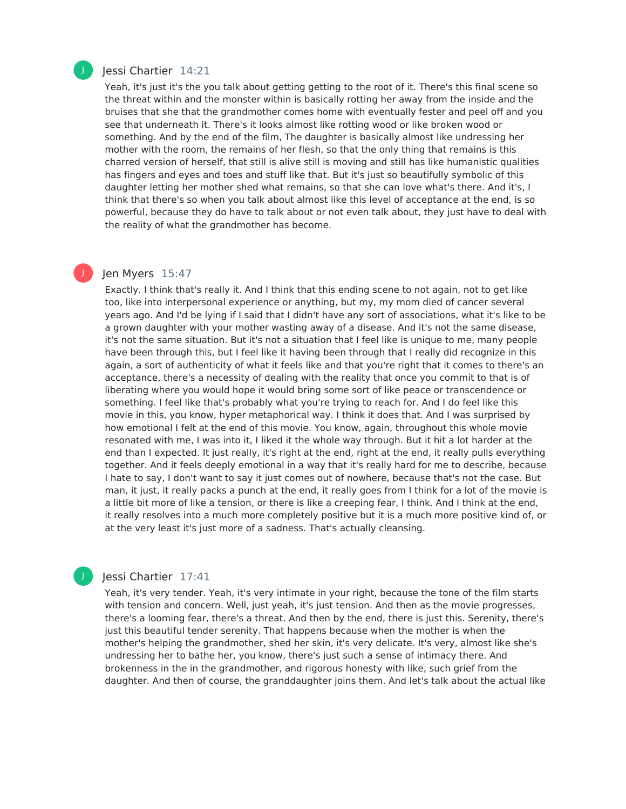

J

## Jessi Chartier 14:21

Yeah, it's just it's the you talk about getting getting to the root of it. There's this final scene so the threat within and the monster within is basically rotting her away from the inside and the bruises that she that the grandmother comes home with eventually fester and peel off and you see that underneath it. There's it looks almost like rotting wood or like broken wood or something. And by the end of the film, The daughter is basically almost like undressing her mother with the room, the remains of her flesh, so that the only thing that remains is this charred version of herself, that still is alive still is moving and still has like humanistic qualities has fingers and eyes and toes and stuff like that. But it's just so beautifully symbolic of this daughter letting her mother shed what remains, so that she can love what's there. And it's, I think that there's so when you talk about almost like this level of acceptance at the end, is so powerful, because they do have to talk about or not even talk about, they just have to deal with the reality of what the grandmother has become.

## Jen Myers 15:47

Exactly. I think that's really it. And I think that this ending scene to not again, not to get like too, like into interpersonal experience or anything, but my, my mom died of cancer several years ago. And I'd be lying if I said that I didn't have any sort of associations, what it's like to be a grown daughter with your mother wasting away of a disease. And it's not the same disease, it's not the same situation. But it's not a situation that I feel like is unique to me, many people have been through this, but I feel like it having been through that I really did recognize in this again, a sort of authenticity of what it feels like and that you're right that it comes to there's an acceptance, there's a necessity of dealing with the reality that once you commit to that is of liberating where you would hope it would bring some sort of like peace or transcendence or something. I feel like that's probably what you're trying to reach for. And I do feel like this movie in this, you know, hyper metaphorical way. I think it does that. And I was surprised by how emotional I felt at the end of this movie. You know, again, throughout this whole movie resonated with me, I was into it, I liked it the whole way through. But it hit a lot harder at the end than I expected. It just really, it's right at the end, right at the end, it really pulls everything together. And it feels deeply emotional in a way that it's really hard for me to describe, because I hate to say, I don't want to say it just comes out of nowhere, because that's not the case. But man, it just, it really packs a punch at the end, it really goes from I think for a lot of the movie is a little bit more of like a tension, or there is like a creeping fear, I think. And I think at the end, it really resolves into a much more completely positive but it is a much more positive kind of, or at the very least it's just more of a sadness. That's actually cleansing.

## Jessi Chartier 17:41

Yeah, it's very tender. Yeah, it's very intimate in your right, because the tone of the film starts with tension and concern. Well, just yeah, it's just tension. And then as the movie progresses, there's a looming fear, there's a threat. And then by the end, there is just this. Serenity, there's just this beautiful tender serenity. That happens because when the mother is when the mother's helping the grandmother, shed her skin, it's very delicate. It's very, almost like she's undressing her to bathe her, you know, there's just such a sense of intimacy there. And brokenness in the in the grandmother, and rigorous honesty with like, such grief from the daughter. And then of course, the granddaughter joins them. And let's talk about the actual like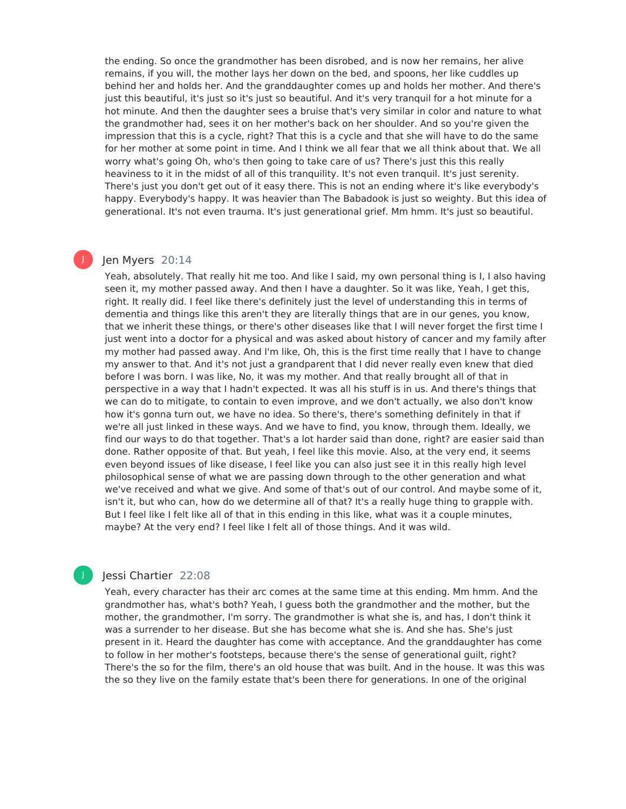the ending. So once the grandmother has been disrobed, and is now her remains, her alive remains, if you will, the mother lays her down on the bed, and spoons, her like cuddles up behind her and holds her. And the granddaughter comes up and holds her mother. And there's just this beautiful, it's just so it's just so beautiful. And it's very tranquil for a hot minute for a hot minute. And then the daughter sees a bruise that's very similar in color and nature to what the grandmother had, sees it on her mother's back on her shoulder. And so you're given the impression that this is a cycle, right? That this is a cycle and that she will have to do the same for her mother at some point in time. And I think we all fear that we all think about that. We all worry what's going Oh, who's then going to take care of us? There's just this this really heaviness to it in the midst of all of this tranquility. It's not even tranquil. It's just serenity. There's just you don't get out of it easy there. This is not an ending where it's like everybody's happy. Everybody's happy. It was heavier than The Babadook is just so weighty. But this idea of generational. It's not even trauma. It's just generational grief. Mm hmm. It's just so beautiful.

## Jen Myers 20:14

J

Yeah, absolutely. That really hit me too. And like I said, my own personal thing is I, I also having seen it, my mother passed away. And then I have a daughter. So it was like, Yeah, I get this, right. It really did. I feel like there's definitely just the level of understanding this in terms of dementia and things like this aren't they are literally things that are in our genes, you know, that we inherit these things, or there's other diseases like that I will never forget the first time I just went into a doctor for a physical and was asked about history of cancer and my family after my mother had passed away. And I'm like, Oh, this is the first time really that I have to change my answer to that. And it's not just a grandparent that I did never really even knew that died before I was born. I was like, No, it was my mother. And that really brought all of that in perspective in a way that I hadn't expected. It was all his stuff is in us. And there's things that we can do to mitigate, to contain to even improve, and we don't actually, we also don't know how it's gonna turn out, we have no idea. So there's, there's something definitely in that if we're all just linked in these ways. And we have to find, you know, through them. Ideally, we find our ways to do that together. That's a lot harder said than done, right? are easier said than done. Rather opposite of that. But yeah, I feel like this movie. Also, at the very end, it seems even beyond issues of like disease, I feel like you can also just see it in this really high level philosophical sense of what we are passing down through to the other generation and what we've received and what we give. And some of that's out of our control. And maybe some of it, isn't it, but who can, how do we determine all of that? It's a really huge thing to grapple with. But I feel like I felt like all of that in this ending in this like, what was it a couple minutes, maybe? At the very end? I feel like I felt all of those things. And it was wild.

## Jessi Chartier 22:08

Yeah, every character has their arc comes at the same time at this ending. Mm hmm. And the grandmother has, what's both? Yeah, I guess both the grandmother and the mother, but the mother, the grandmother, I'm sorry. The grandmother is what she is, and has, I don't think it was a surrender to her disease. But she has become what she is. And she has. She's just present in it. Heard the daughter has come with acceptance. And the granddaughter has come to follow in her mother's footsteps, because there's the sense of generational guilt, right? There's the so for the film, there's an old house that was built. And in the house. It was this was the so they live on the family estate that's been there for generations. In one of the original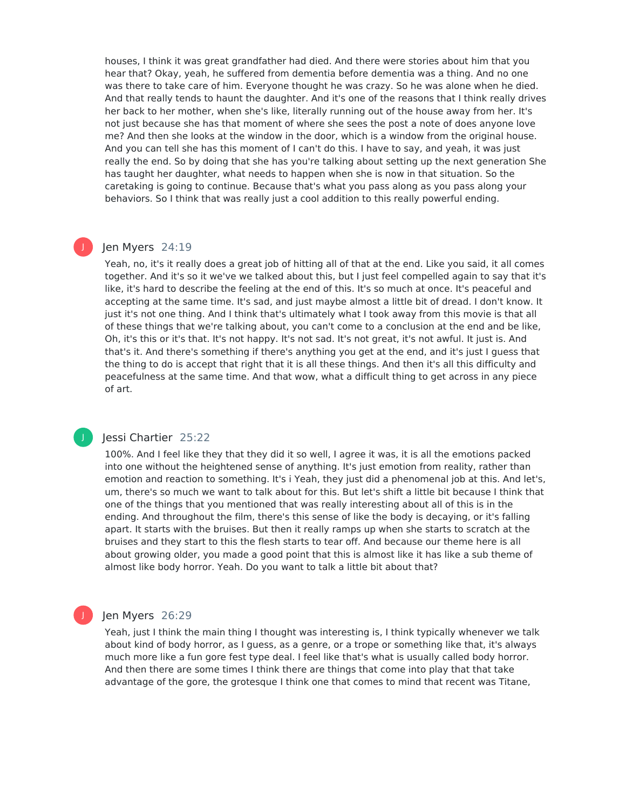houses, I think it was great grandfather had died. And there were stories about him that you hear that? Okay, yeah, he suffered from dementia before dementia was a thing. And no one was there to take care of him. Everyone thought he was crazy. So he was alone when he died. And that really tends to haunt the daughter. And it's one of the reasons that I think really drives her back to her mother, when she's like, literally running out of the house away from her. It's not just because she has that moment of where she sees the post a note of does anyone love me? And then she looks at the window in the door, which is a window from the original house. And you can tell she has this moment of I can't do this. I have to say, and yeah, it was just really the end. So by doing that she has you're talking about setting up the next generation She has taught her daughter, what needs to happen when she is now in that situation. So the caretaking is going to continue. Because that's what you pass along as you pass along your behaviors. So I think that was really just a cool addition to this really powerful ending.

## Jen Myers 24:19

Yeah, no, it's it really does a great job of hitting all of that at the end. Like you said, it all comes together. And it's so it we've we talked about this, but I just feel compelled again to say that it's like, it's hard to describe the feeling at the end of this. It's so much at once. It's peaceful and accepting at the same time. It's sad, and just maybe almost a little bit of dread. I don't know. It just it's not one thing. And I think that's ultimately what I took away from this movie is that all of these things that we're talking about, you can't come to a conclusion at the end and be like, Oh, it's this or it's that. It's not happy. It's not sad. It's not great, it's not awful. It just is. And that's it. And there's something if there's anything you get at the end, and it's just I guess that the thing to do is accept that right that it is all these things. And then it's all this difficulty and peacefulness at the same time. And that wow, what a difficult thing to get across in any piece of art.

## J

J

## Jessi Chartier 25:22

100%. And I feel like they that they did it so well, I agree it was, it is all the emotions packed into one without the heightened sense of anything. It's just emotion from reality, rather than emotion and reaction to something. It's i Yeah, they just did a phenomenal job at this. And let's, um, there's so much we want to talk about for this. But let's shift a little bit because I think that one of the things that you mentioned that was really interesting about all of this is in the ending. And throughout the film, there's this sense of like the body is decaying, or it's falling apart. It starts with the bruises. But then it really ramps up when she starts to scratch at the bruises and they start to this the flesh starts to tear off. And because our theme here is all about growing older, you made a good point that this is almost like it has like a sub theme of almost like body horror. Yeah. Do you want to talk a little bit about that?

## Jen Myers 26:29

Yeah, just I think the main thing I thought was interesting is, I think typically whenever we talk about kind of body horror, as I guess, as a genre, or a trope or something like that, it's always much more like a fun gore fest type deal. I feel like that's what is usually called body horror. And then there are some times I think there are things that come into play that that take advantage of the gore, the grotesque I think one that comes to mind that recent was Titane,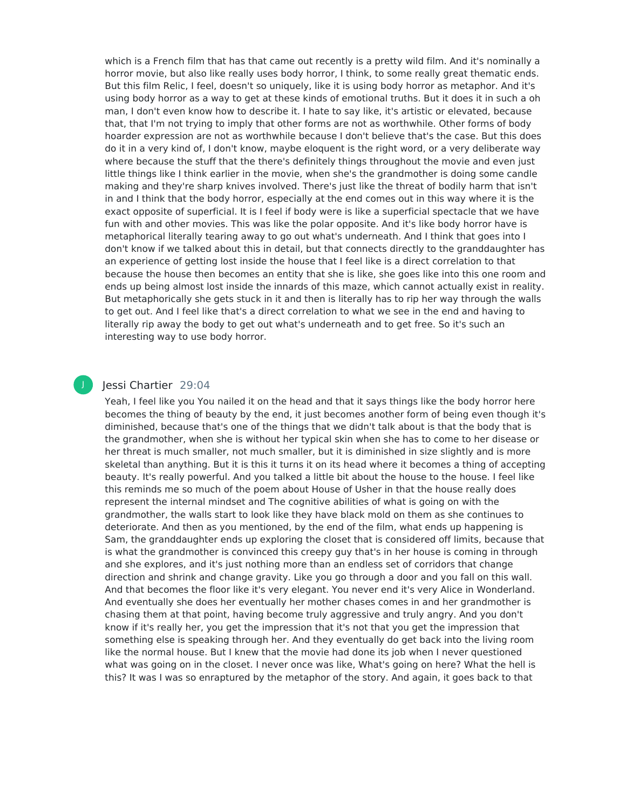which is a French film that has that came out recently is a pretty wild film. And it's nominally a horror movie, but also like really uses body horror, I think, to some really great thematic ends. But this film Relic, I feel, doesn't so uniquely, like it is using body horror as metaphor. And it's using body horror as a way to get at these kinds of emotional truths. But it does it in such a oh man, I don't even know how to describe it. I hate to say like, it's artistic or elevated, because that, that I'm not trying to imply that other forms are not as worthwhile. Other forms of body hoarder expression are not as worthwhile because I don't believe that's the case. But this does do it in a very kind of, I don't know, maybe eloquent is the right word, or a very deliberate way where because the stuff that the there's definitely things throughout the movie and even just little things like I think earlier in the movie, when she's the grandmother is doing some candle making and they're sharp knives involved. There's just like the threat of bodily harm that isn't in and I think that the body horror, especially at the end comes out in this way where it is the exact opposite of superficial. It is I feel if body were is like a superficial spectacle that we have fun with and other movies. This was like the polar opposite. And it's like body horror have is metaphorical literally tearing away to go out what's underneath. And I think that goes into I don't know if we talked about this in detail, but that connects directly to the granddaughter has an experience of getting lost inside the house that I feel like is a direct correlation to that because the house then becomes an entity that she is like, she goes like into this one room and ends up being almost lost inside the innards of this maze, which cannot actually exist in reality. But metaphorically she gets stuck in it and then is literally has to rip her way through the walls to get out. And I feel like that's a direct correlation to what we see in the end and having to literally rip away the body to get out what's underneath and to get free. So it's such an interesting way to use body horror.

## Jessi Chartier 29:04

Yeah, I feel like you You nailed it on the head and that it says things like the body horror here becomes the thing of beauty by the end, it just becomes another form of being even though it's diminished, because that's one of the things that we didn't talk about is that the body that is the grandmother, when she is without her typical skin when she has to come to her disease or her threat is much smaller, not much smaller, but it is diminished in size slightly and is more skeletal than anything. But it is this it turns it on its head where it becomes a thing of accepting beauty. It's really powerful. And you talked a little bit about the house to the house. I feel like this reminds me so much of the poem about House of Usher in that the house really does represent the internal mindset and The cognitive abilities of what is going on with the grandmother, the walls start to look like they have black mold on them as she continues to deteriorate. And then as you mentioned, by the end of the film, what ends up happening is Sam, the granddaughter ends up exploring the closet that is considered off limits, because that is what the grandmother is convinced this creepy guy that's in her house is coming in through and she explores, and it's just nothing more than an endless set of corridors that change direction and shrink and change gravity. Like you go through a door and you fall on this wall. And that becomes the floor like it's very elegant. You never end it's very Alice in Wonderland. And eventually she does her eventually her mother chases comes in and her grandmother is chasing them at that point, having become truly aggressive and truly angry. And you don't know if it's really her, you get the impression that it's not that you get the impression that something else is speaking through her. And they eventually do get back into the living room like the normal house. But I knew that the movie had done its job when I never questioned what was going on in the closet. I never once was like, What's going on here? What the hell is this? It was I was so enraptured by the metaphor of the story. And again, it goes back to that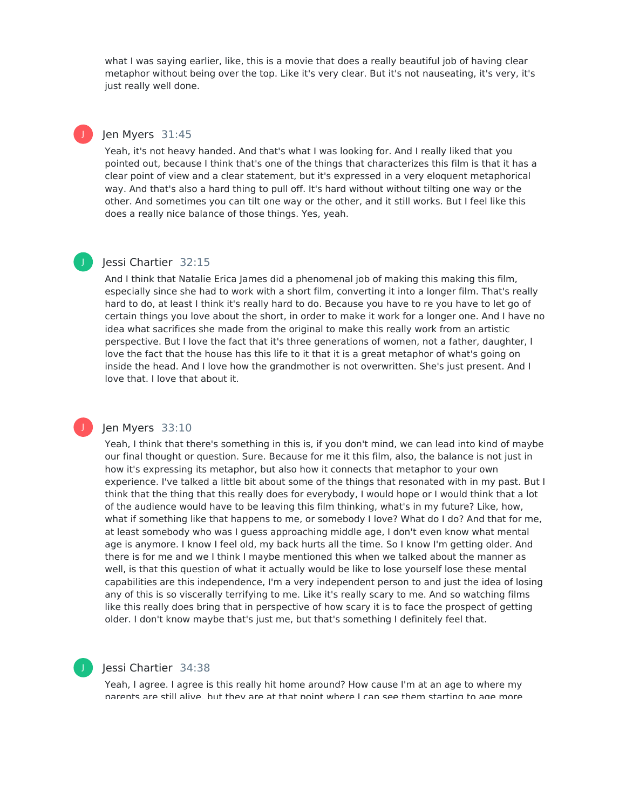what I was saying earlier, like, this is a movie that does a really beautiful job of having clear metaphor without being over the top. Like it's very clear. But it's not nauseating, it's very, it's just really well done.

## Jen Myers 31:45

J

J

J

Yeah, it's not heavy handed. And that's what I was looking for. And I really liked that you pointed out, because I think that's one of the things that characterizes this film is that it has a clear point of view and a clear statement, but it's expressed in a very eloquent metaphorical way. And that's also a hard thing to pull off. It's hard without without tilting one way or the other. And sometimes you can tilt one way or the other, and it still works. But I feel like this does a really nice balance of those things. Yes, yeah.

## Jessi Chartier 32:15

And I think that Natalie Erica James did a phenomenal job of making this making this film, especially since she had to work with a short film, converting it into a longer film. That's really hard to do, at least I think it's really hard to do. Because you have to re you have to let go of certain things you love about the short, in order to make it work for a longer one. And I have no idea what sacrifices she made from the original to make this really work from an artistic perspective. But I love the fact that it's three generations of women, not a father, daughter, I love the fact that the house has this life to it that it is a great metaphor of what's going on inside the head. And I love how the grandmother is not overwritten. She's just present. And I love that. I love that about it.

## Jen Myers 33:10

Yeah, I think that there's something in this is, if you don't mind, we can lead into kind of maybe our final thought or question. Sure. Because for me it this film, also, the balance is not just in how it's expressing its metaphor, but also how it connects that metaphor to your own experience. I've talked a little bit about some of the things that resonated with in my past. But I think that the thing that this really does for everybody, I would hope or I would think that a lot of the audience would have to be leaving this film thinking, what's in my future? Like, how, what if something like that happens to me, or somebody I love? What do I do? And that for me, at least somebody who was I guess approaching middle age, I don't even know what mental age is anymore. I know Ifeel old, my back hurts all the time. So I know I'm getting older. And there is for me and we I think I maybe mentioned this when we talked about the manner as well, is that this question of what it actually would be like to lose yourself lose these mental capabilities are this independence, I'm a very independent person to and just the idea of losing any of this is so viscerally terrifying to me. Like it's really scary to me. And so watching films like this really does bring that in perspective of how scary it is to face the prospect of getting older. I don't know maybe that's just me, but that's something I definitely feel that.

## Jessi Chartier 34:38

Yeah, I agree. I agree is this really hit home around? How cause I'm at an age to where my parents are still alive, but they are at that point where I can see them starting to age more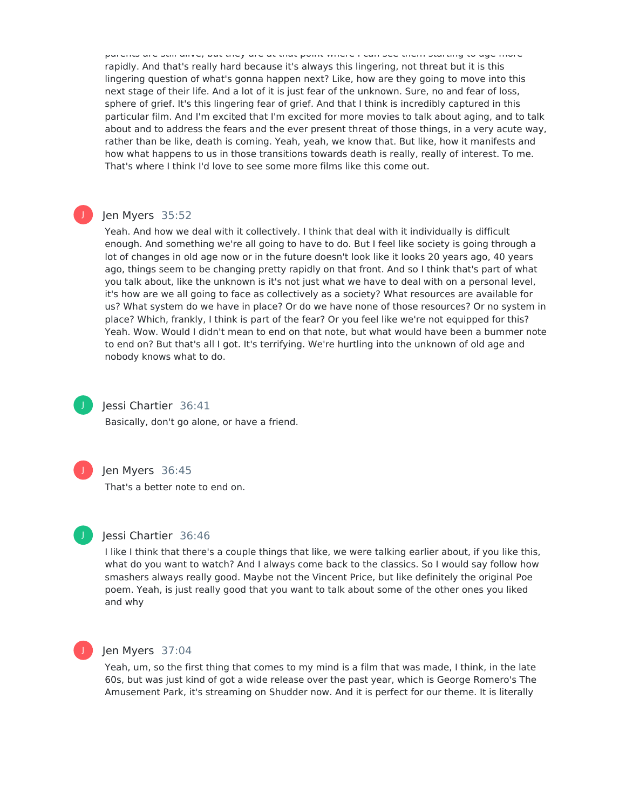parents are still alive, but they are at that point where I can see them starting to age more rapidly. And that's really hard because it's always this lingering, not threat but it is this lingering question of what's gonna happen next? Like, how are they going to move into this next stage of their life. And a lot of it is just fear of the unknown. Sure, no and fear of loss, sphere of grief. It's this lingering fear of grief. And that I think is incredibly captured in this particular film. And I'm excited that I'm excited for more movies to talk about aging, and to talk about and to address the fears and the ever present threat of those things, in a very acute way, rather than be like, death is coming. Yeah, yeah, we know that. But like, how it manifests and how what happens to us in those transitions towards death is really, really of interest. To me. That's where I think I'd love to see some more films like this come out.

## Jen Myers 35:52

Yeah. And how we deal with it collectively. I think that deal with it individually is difficult enough. And something we're all going to have to do. But I feel like society is going through a lot of changes in old age now or in the future doesn't look like it looks 20 years ago, 40 years ago, things seem to be changing pretty rapidly on that front. And so I think that's part of what you talk about, like the unknown is it's not just what we have to deal with on a personal level, it's how are we all going to face as collectively as a society? What resources are available for us? What system do we have in place? Or do we have none of those resources? Or no system in place? Which, frankly, I think is part of the fear? Or you feel like we're not equipped for this? Yeah. Wow. Would I didn't mean to end on that note, but what would have been a bummer note to end on? But that's all I got. It's terrifying. We're hurtling into the unknown of old age and nobody knows what to do.



J

## Jessi Chartier 36:41

Basically, don't go alone, or have a friend.



## Jen Myers 36:45

That's a better note to end on.



## Jessi Chartier 36:46

I like I think that there's a couple things that like, we were talking earlier about, if you like this, what do you want to watch? And I always come back to the classics. So I would say follow how smashers always really good. Maybe not the Vincent Price, but like definitely the original Poe poem. Yeah, is just really good that you want to talk about some of the other ones you liked and why



## Jen Myers 37:04

Yeah, um, so the first thing that comes to my mind is a film that was made, I think, in the late 60s, but was just kind of got a wide release over the past year, which is George Romero's The Amusement Park, it's streaming on Shudder now. And it is perfect for our theme. It is literally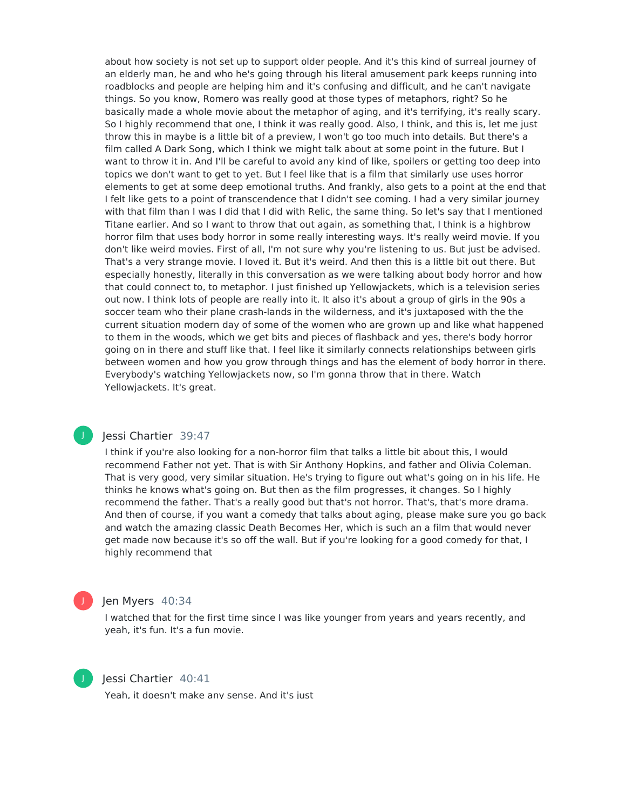about how society is not set up to support older people. And it's this kind of surreal journey of an elderly man, he and who he's going through his literal amusement park keeps running into roadblocks and people are helping him and it's confusing and difficult, and he can't navigate things. So you know, Romero was really good at those types of metaphors, right? So he basically made a whole movie about the metaphor of aging, and it's terrifying, it's really scary. So I highly recommend that one, I think it was really good. Also, I think, and this is, let me just throw this in maybe is a little bit of a preview, I won't go too much into details. But there's a film called A Dark Song, which I think we might talk about at some point in the future. But I want to throw it in. And I'll be careful to avoid any kind of like, spoilers or getting too deep into topics we don't want to get to yet. But I feel like that is a film that similarly use uses horror elements to get at some deep emotional truths. And frankly, also gets to a point at the end that I felt like gets to a point of transcendence that I didn't see coming. I had a very similar journey with that film than I was I did that I did with Relic, the same thing. So let's say that I mentioned Titane earlier. And so I want to throw that out again, as something that, I think is a highbrow horror film that uses body horror in some really interesting ways. It's really weird movie. If you don't like weird movies. First of all, I'm not sure why you're listening to us. But just be advised. That's a very strange movie. I loved it. But it's weird. And then this is a little bit out there. But especially honestly, literally in this conversation as we were talking about body horror and how that could connect to, to metaphor. I just finished up Yellowjackets, which is a television series out now. I think lots of people are really into it. It also it's about a group of girls in the 90s a soccer team who their plane crash-lands in the wilderness, and it's juxtaposed with the the current situation modern day of some of the women who are grown up and like what happened to them in the woods, which we get bits and pieces of flashback and yes, there's body horror going on in there and stuff like that. I feel like it similarly connects relationships between girls between women and how you grow through things and has the element of body horror in there. Everybody's watching Yellowjackets now, so I'm gonna throw that in there. Watch Yellowjackets. It's great.

## Jessi Chartier 39:47

I think if you're also looking for a non-horror film that talks a little bit about this, I would recommend Father not yet. That is with Sir Anthony Hopkins, and father and Olivia Coleman. That is very good, very similar situation. He's trying to figure out what's going on in his life. He thinks he knows what's going on. But then as the film progresses, it changes. So I highly recommend the father. That's a really good but that's not horror. That's, that's more drama. And then of course, if you want a comedy that talks about aging, please make sure you go back and watch the amazing classic Death Becomes Her, which is such an a film that would never get made now because it's so off the wall. But if you're looking for a good comedy for that, I highly recommend that

## Jen Myers 40:34

I watched that for the first time since I was like younger from years and years recently, and yeah, it's fun. It's a fun movie.



J

J

## Jessi Chartier 40:41

Yeah, it doesn't make any sense. And it's just